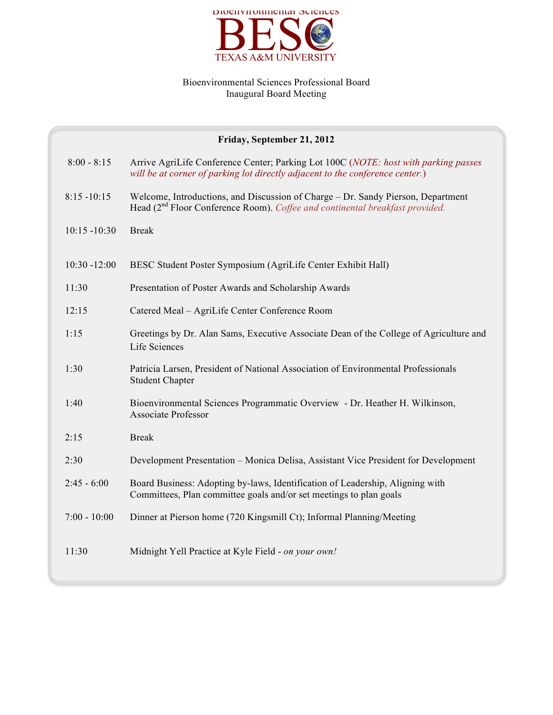

## Bioenvironmental Sciences Professional Board Inaugural Board Meeting

| Friday, September 21, 2012 |                                                                                                                                                                              |  |
|----------------------------|------------------------------------------------------------------------------------------------------------------------------------------------------------------------------|--|
| $8:00 - 8:15$              | Arrive AgriLife Conference Center; Parking Lot 100C (NOTE: host with parking passes<br>will be at corner of parking lot directly adjacent to the conference center.)         |  |
| $8:15 - 10:15$             | Welcome, Introductions, and Discussion of Charge - Dr. Sandy Pierson, Department<br>Head (2 <sup>nd</sup> Floor Conference Room). Coffee and continental breakfast provided. |  |
| $10:15 - 10:30$            | <b>Break</b>                                                                                                                                                                 |  |
| $10:30 - 12:00$            | BESC Student Poster Symposium (AgriLife Center Exhibit Hall)                                                                                                                 |  |
| 11:30                      | Presentation of Poster Awards and Scholarship Awards                                                                                                                         |  |
| 12:15                      | Catered Meal - AgriLife Center Conference Room                                                                                                                               |  |
| 1:15                       | Greetings by Dr. Alan Sams, Executive Associate Dean of the College of Agriculture and<br>Life Sciences                                                                      |  |
| 1:30                       | Patricia Larsen, President of National Association of Environmental Professionals<br><b>Student Chapter</b>                                                                  |  |
| 1:40                       | Bioenvironmental Sciences Programmatic Overview - Dr. Heather H. Wilkinson,<br><b>Associate Professor</b>                                                                    |  |
| 2:15                       | <b>Break</b>                                                                                                                                                                 |  |
| 2:30                       | Development Presentation – Monica Delisa, Assistant Vice President for Development                                                                                           |  |
| $2:45 - 6:00$              | Board Business: Adopting by-laws, Identification of Leadership, Aligning with<br>Committees, Plan committee goals and/or set meetings to plan goals                          |  |
| $7:00 - 10:00$             | Dinner at Pierson home (720 Kingsmill Ct); Informal Planning/Meeting                                                                                                         |  |
| 11:30                      | Midnight Yell Practice at Kyle Field - on your own!                                                                                                                          |  |